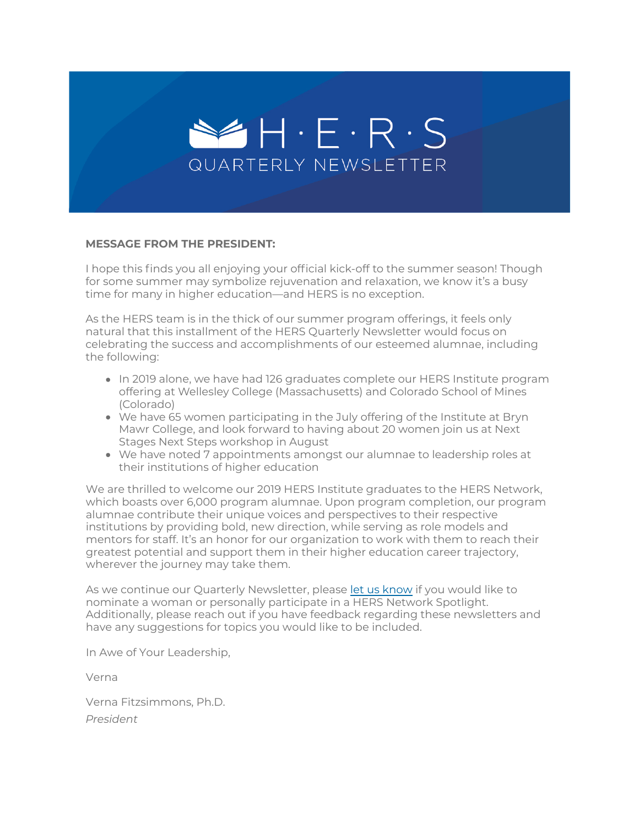

#### **MESSAGE FROM THE PRESIDENT:**

I hope this finds you all enjoying your official kick-off to the summer season! Though for some summer may symbolize rejuvenation and relaxation, we know it's a busy time for many in higher education—and HERS is no exception.

As the HERS team is in the thick of our summer program offerings, it feels only natural that this installment of the HERS Quarterly Newsletter would focus on celebrating the success and accomplishments of our esteemed alumnae, including the following:

- In 2019 alone, we have had 126 graduates complete our HERS Institute program offering at Wellesley College (Massachusetts) and Colorado School of Mines (Colorado)
- We have 65 women participating in the July offering of the Institute at Bryn Mawr College, and look forward to having about 20 women join us at Next Stages Next Steps workshop in August
- We have noted 7 appointments amongst our alumnae to leadership roles at their institutions of higher education

We are thrilled to welcome our 2019 HERS Institute graduates to the HERS Network, which boasts over 6,000 program alumnae. Upon program completion, our program alumnae contribute their unique voices and perspectives to their respective institutions by providing bold, new direction, while serving as role models and mentors for staff. It's an honor for our organization to work with them to reach their greatest potential and support them in their higher education career trajectory, wherever the journey may take them.

As we continue our Quarterly Newsletter, please [let us know](https://suite.targetx.com/suite4sf/email/bin/redir.php?id=TMS-test_recipient_id&link=https%253A//www.hersnetwork.org/contact) if you would like to nominate a woman or personally participate in a HERS Network Spotlight. Additionally, please reach out if you have feedback regarding these newsletters and have any suggestions for topics you would like to be included.

In Awe of Your Leadership,

Verna

Verna Fitzsimmons, Ph.D. *President*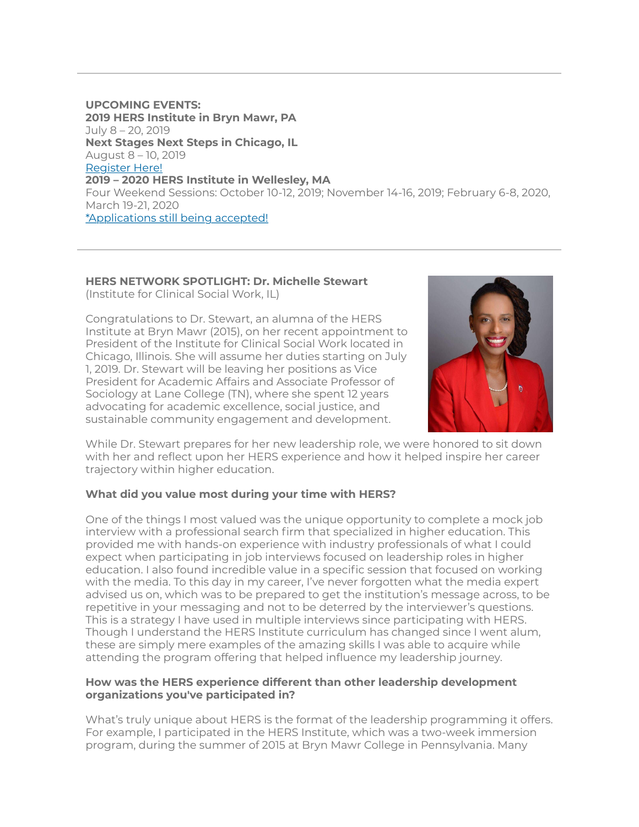**UPCOMING EVENTS: 2019 HERS Institute in Bryn Mawr, PA**  July 8 – 20, 2019 **Next Stages Next Steps in Chicago, IL** August 8 – 10, 2019 [Register Here!](https://suite.targetx.com/suite4sf/email/bin/redir.php?id=TMS-test_recipient_id&link=https%253A//www.hersnetwork.org/programs/next-stages-next-steps/) **2019 – 2020 HERS Institute in Wellesley, MA** Four Weekend Sessions: October 10-12, 2019; November 14-16, 2019; February 6-8, 2020, March 19-21, 2020 \*Applications still being accepted!

# **HERS NETWORK SPOTLIGHT: Dr. Michelle Stewart**

(Institute for Clinical Social Work, IL)

Congratulations to Dr. Stewart, an alumna of the HERS Institute at Bryn Mawr (2015), on her recent appointment to President of the Institute for Clinical Social Work located in Chicago, Illinois. She will assume her duties starting on July 1, 2019. Dr. Stewart will be leaving her positions as Vice President for Academic Affairs and Associate Professor of Sociology at Lane College (TN), where she spent 12 years advocating for academic excellence, social justice, and sustainable community engagement and development.



While Dr. Stewart prepares for her new leadership role, we were honored to sit down with her and reflect upon her HERS experience and how it helped inspire her career trajectory within higher education.

## **What did you value most during your time with HERS?**

One of the things I most valued was the unique opportunity to complete a mock job interview with a professional search firm that specialized in higher education. This provided me with hands-on experience with industry professionals of what I could expect when participating in job interviews focused on leadership roles in higher education. I also found incredible value in a specific session that focused on working with the media. To this day in my career, I've never forgotten what the media expert advised us on, which was to be prepared to get the institution's message across, to be repetitive in your messaging and not to be deterred by the interviewer's questions. This is a strategy I have used in multiple interviews since participating with HERS. Though I understand the HERS Institute curriculum has changed since I went alum, these are simply mere examples of the amazing skills I was able to acquire while attending the program offering that helped influence my leadership journey.

### **How was the HERS experience different than other leadership development organizations you've participated in?**

What's truly unique about HERS is the format of the leadership programming it offers. For example, I participated in the HERS Institute, which was a two-week immersion program, during the summer of 2015 at Bryn Mawr College in Pennsylvania. Many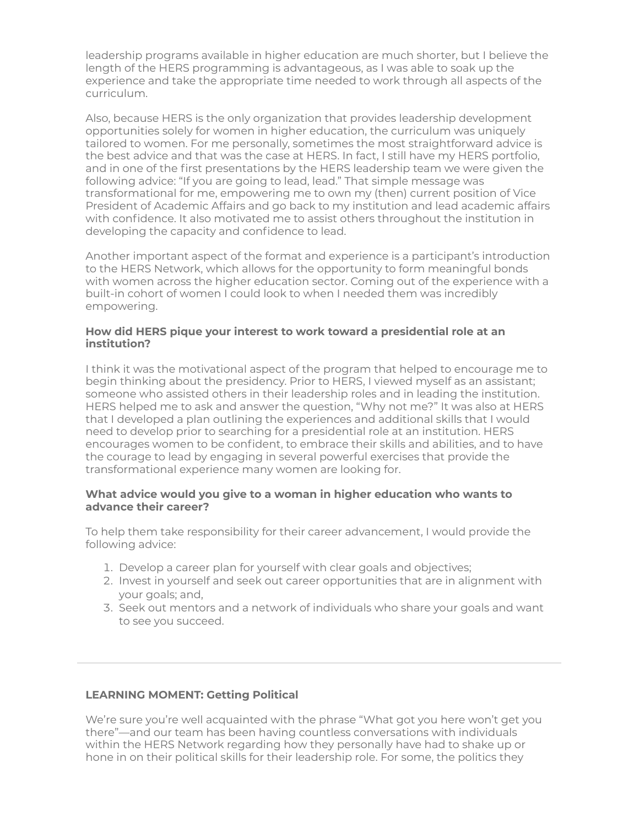leadership programs available in higher education are much shorter, but I believe the length of the HERS programming is advantageous, as I was able to soak up the experience and take the appropriate time needed to work through all aspects of the curriculum.

Also, because HERS is the only organization that provides leadership development opportunities solely for women in higher education, the curriculum was uniquely tailored to women. For me personally, sometimes the most straightforward advice is the best advice and that was the case at HERS. In fact, I still have my HERS portfolio, and in one of the first presentations by the HERS leadership team we were given the following advice: "If you are going to lead, lead." That simple message was transformational for me, empowering me to own my (then) current position of Vice President of Academic Affairs and go back to my institution and lead academic affairs with confidence. It also motivated me to assist others throughout the institution in developing the capacity and confidence to lead.

Another important aspect of the format and experience is a participant's introduction to the HERS Network, which allows for the opportunity to form meaningful bonds with women across the higher education sector. Coming out of the experience with a built-in cohort of women I could look to when I needed them was incredibly empowering.

#### **How did HERS pique your interest to work toward a presidential role at an institution?**

I think it was the motivational aspect of the program that helped to encourage me to begin thinking about the presidency. Prior to HERS, I viewed myself as an assistant; someone who assisted others in their leadership roles and in leading the institution. HERS helped me to ask and answer the question, "Why not me?" It was also at HERS that I developed a plan outlining the experiences and additional skills that I would need to develop prior to searching for a presidential role at an institution. HERS encourages women to be confident, to embrace their skills and abilities, and to have the courage to lead by engaging in several powerful exercises that provide the transformational experience many women are looking for.

### **What advice would you give to a woman in higher education who wants to advance their career?**

To help them take responsibility for their career advancement, I would provide the following advice:

- 1. Develop a career plan for yourself with clear goals and objectives;
- 2. Invest in yourself and seek out career opportunities that are in alignment with your goals; and,
- 3. Seek out mentors and a network of individuals who share your goals and want to see you succeed.

#### **LEARNING MOMENT: Getting Political**

We're sure you're well acquainted with the phrase "What got you here won't get you there"—and our team has been having countless conversations with individuals within the HERS Network regarding how they personally have had to shake up or hone in on their political skills for their leadership role. For some, the politics they